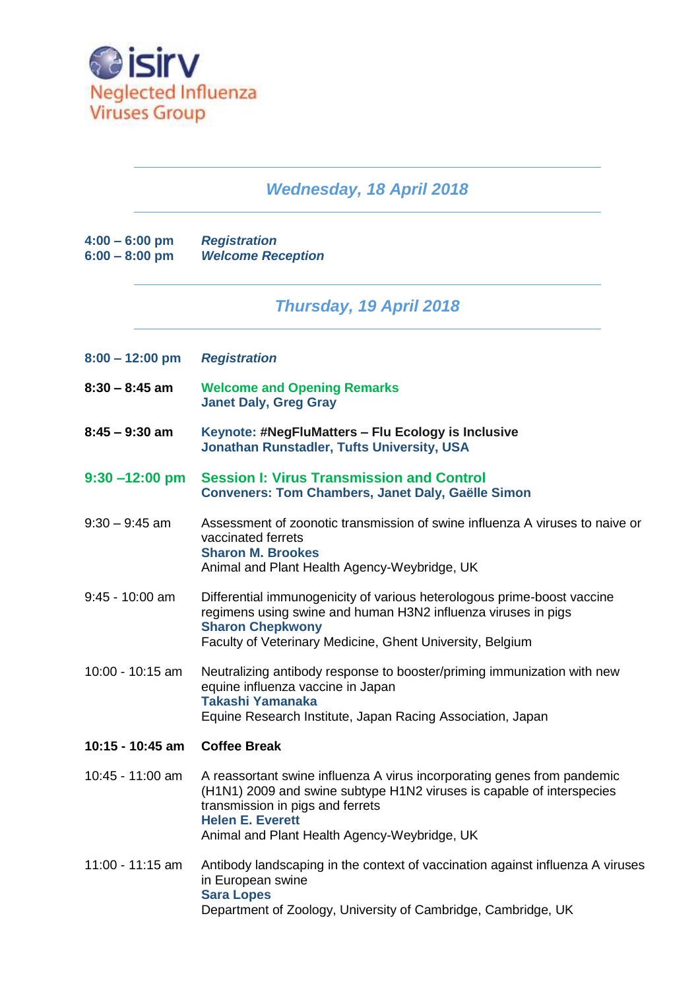

## *Wednesday, 18 April 2018*

| $4:00 - 6:00$ pm | <b>Registration</b>      |
|------------------|--------------------------|
| $6:00 - 8:00$ pm | <b>Welcome Reception</b> |

## *Thursday, 19 April 2018*

| 8:00 – 12:00 pm |  | <b>Registration</b> |
|-----------------|--|---------------------|
|                 |  |                     |

- **8:30 – 8:45 am Welcome and Opening Remarks Janet Daly, Greg Gray**
- **8:45 – 9:30 am Keynote: #NegFluMatters – Flu Ecology is Inclusive Jonathan Runstadler, Tufts University, USA**
- **9:30 –12:00 pm Session I: Virus Transmission and Control Conveners: Tom Chambers, Janet Daly, Gaëlle Simon**
- 9:30 9:45 am Assessment of zoonotic transmission of swine influenza A viruses to naive or vaccinated ferrets **Sharon M. Brookes** Animal and Plant Health Agency-Weybridge, UK
- 9:45 10:00 am Differential immunogenicity of various heterologous prime-boost vaccine regimens using swine and human H3N2 influenza viruses in pigs **Sharon Chepkwony** Faculty of Veterinary Medicine, Ghent University, Belgium
- 10:00 10:15 am Neutralizing antibody response to booster/priming immunization with new equine influenza vaccine in Japan **Takashi Yamanaka** Equine Research Institute, Japan Racing Association, Japan
- **10:15 - 10:45 am Coffee Break**
- 10:45 11:00 am A reassortant swine influenza A virus incorporating genes from pandemic (H1N1) 2009 and swine subtype H1N2 viruses is capable of interspecies transmission in pigs and ferrets **Helen E. Everett** Animal and Plant Health Agency-Weybridge, UK
- 11:00 11:15 am Antibody landscaping in the context of vaccination against influenza A viruses in European swine **Sara Lopes** Department of Zoology, University of Cambridge, Cambridge, UK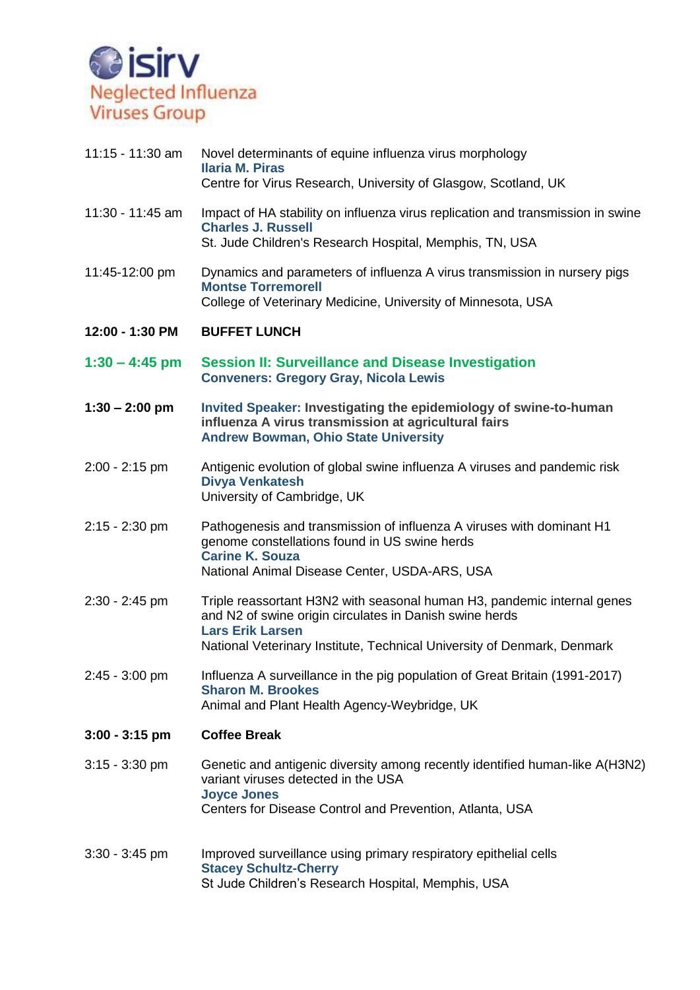

| 11:15 - 11:30 am | Novel determinants of equine influenza virus morphology<br><b>Ilaria M. Piras</b><br>Centre for Virus Research, University of Glasgow, Scotland, UK                                                                                      |
|------------------|------------------------------------------------------------------------------------------------------------------------------------------------------------------------------------------------------------------------------------------|
| 11:30 - 11:45 am | Impact of HA stability on influenza virus replication and transmission in swine<br><b>Charles J. Russell</b><br>St. Jude Children's Research Hospital, Memphis, TN, USA                                                                  |
| 11:45-12:00 pm   | Dynamics and parameters of influenza A virus transmission in nursery pigs<br><b>Montse Torremorell</b><br>College of Veterinary Medicine, University of Minnesota, USA                                                                   |
| 12:00 - 1:30 PM  | <b>BUFFET LUNCH</b>                                                                                                                                                                                                                      |
| $1:30 - 4:45$ pm | <b>Session II: Surveillance and Disease Investigation</b><br><b>Conveners: Gregory Gray, Nicola Lewis</b>                                                                                                                                |
| $1:30 - 2:00$ pm | Invited Speaker: Investigating the epidemiology of swine-to-human<br>influenza A virus transmission at agricultural fairs<br><b>Andrew Bowman, Ohio State University</b>                                                                 |
| $2:00 - 2:15$ pm | Antigenic evolution of global swine influenza A viruses and pandemic risk<br><b>Divya Venkatesh</b><br>University of Cambridge, UK                                                                                                       |
| $2:15 - 2:30$ pm | Pathogenesis and transmission of influenza A viruses with dominant H1<br>genome constellations found in US swine herds<br><b>Carine K. Souza</b><br>National Animal Disease Center, USDA-ARS, USA                                        |
| $2:30 - 2:45$ pm | Triple reassortant H3N2 with seasonal human H3, pandemic internal genes<br>and N2 of swine origin circulates in Danish swine herds<br><b>Lars Erik Larsen</b><br>National Veterinary Institute, Technical University of Denmark, Denmark |
| $2:45 - 3:00$ pm | Influenza A surveillance in the pig population of Great Britain (1991-2017)<br><b>Sharon M. Brookes</b><br>Animal and Plant Health Agency-Weybridge, UK                                                                                  |
| $3:00 - 3:15$ pm | <b>Coffee Break</b>                                                                                                                                                                                                                      |
| $3:15 - 3:30$ pm | Genetic and antigenic diversity among recently identified human-like A(H3N2)<br>variant viruses detected in the USA<br><b>Joyce Jones</b><br>Centers for Disease Control and Prevention, Atlanta, USA                                    |
| $3:30 - 3:45$ pm | Improved surveillance using primary respiratory epithelial cells<br><b>Stacey Schultz-Cherry</b><br>St Jude Children's Research Hospital, Memphis, USA                                                                                   |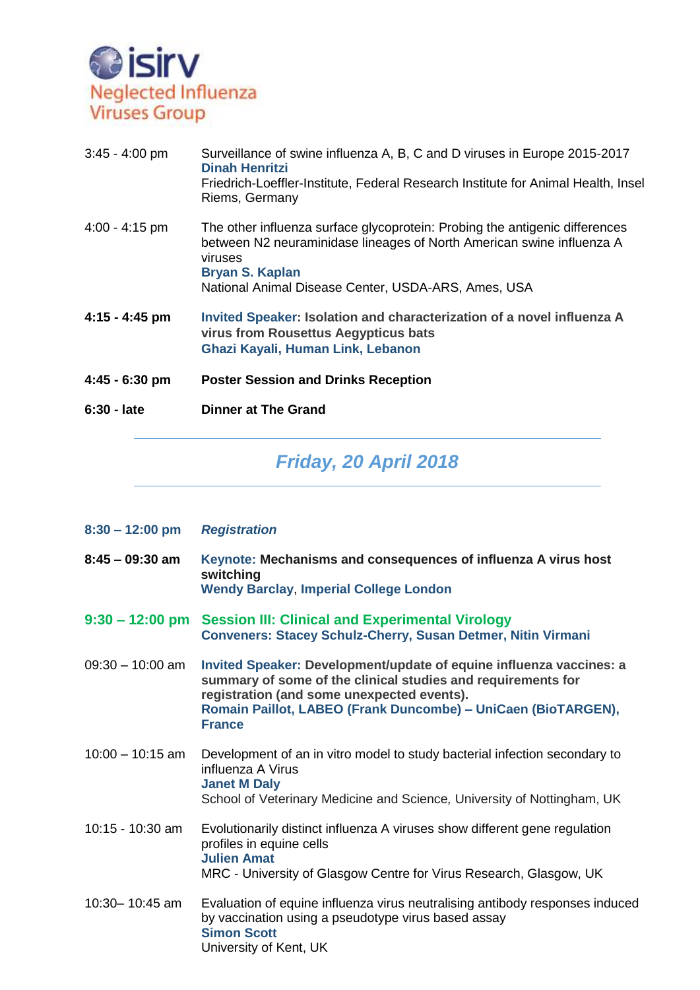

| 3:45 - 4:00 pm | Surveillance of swine influenza A, B, C and D viruses in Europe 2015-2017<br>Dinah Henritzi<br>Friedrich-Loeffler-Institute, Federal Research Institute for Animal Health, Insel<br>Riems, Germany                                               |
|----------------|--------------------------------------------------------------------------------------------------------------------------------------------------------------------------------------------------------------------------------------------------|
| 4:00 - 4:15 pm | The other influenza surface glycoprotein: Probing the antigenic differences<br>between N2 neuraminidase lineages of North American swine influenza A<br>viruses<br><b>Bryan S. Kaplan</b><br>National Animal Disease Center, USDA-ARS, Ames, USA |
| 4:15 - 4:45 pm | Invited Speaker: Isolation and characterization of a novel influenza A<br>virus from Rousettus Aegypticus bats<br>Ghazi Kayali, Human Link, Lebanon                                                                                              |
| 4:45 - 6:30 pm | <b>Poster Session and Drinks Reception</b>                                                                                                                                                                                                       |
| 6:30 - late    | <b>Dinner at The Grand</b>                                                                                                                                                                                                                       |
|                |                                                                                                                                                                                                                                                  |

## *Friday, 20 April 2018*

| $8:30 - 12:00$ pm  | <b>Registration</b>                                                                                                                                                                                                                                                 |
|--------------------|---------------------------------------------------------------------------------------------------------------------------------------------------------------------------------------------------------------------------------------------------------------------|
| $8:45 - 09:30$ am  | Keynote: Mechanisms and consequences of influenza A virus host<br>switching<br><b>Wendy Barclay, Imperial College London</b>                                                                                                                                        |
| $9:30 - 12:00$ pm  | <b>Session III: Clinical and Experimental Virology</b><br><b>Conveners: Stacey Schulz-Cherry, Susan Detmer, Nitin Virmani</b>                                                                                                                                       |
| $09:30 - 10:00$ am | Invited Speaker: Development/update of equine influenza vaccines: a<br>summary of some of the clinical studies and requirements for<br>registration (and some unexpected events).<br>Romain Paillot, LABEO (Frank Duncombe) - UniCaen (BioTARGEN),<br><b>France</b> |
| $10:00 - 10:15$ am | Development of an in vitro model to study bacterial infection secondary to<br>influenza A Virus<br><b>Janet M Daly</b><br>School of Veterinary Medicine and Science, University of Nottingham, UK                                                                   |
| 10:15 - 10:30 am   | Evolutionarily distinct influenza A viruses show different gene regulation<br>profiles in equine cells<br><b>Julien Amat</b><br>MRC - University of Glasgow Centre for Virus Research, Glasgow, UK                                                                  |
| 10:30-10:45 am     | Evaluation of equine influenza virus neutralising antibody responses induced<br>by vaccination using a pseudotype virus based assay<br><b>Simon Scott</b><br>University of Kent, UK                                                                                 |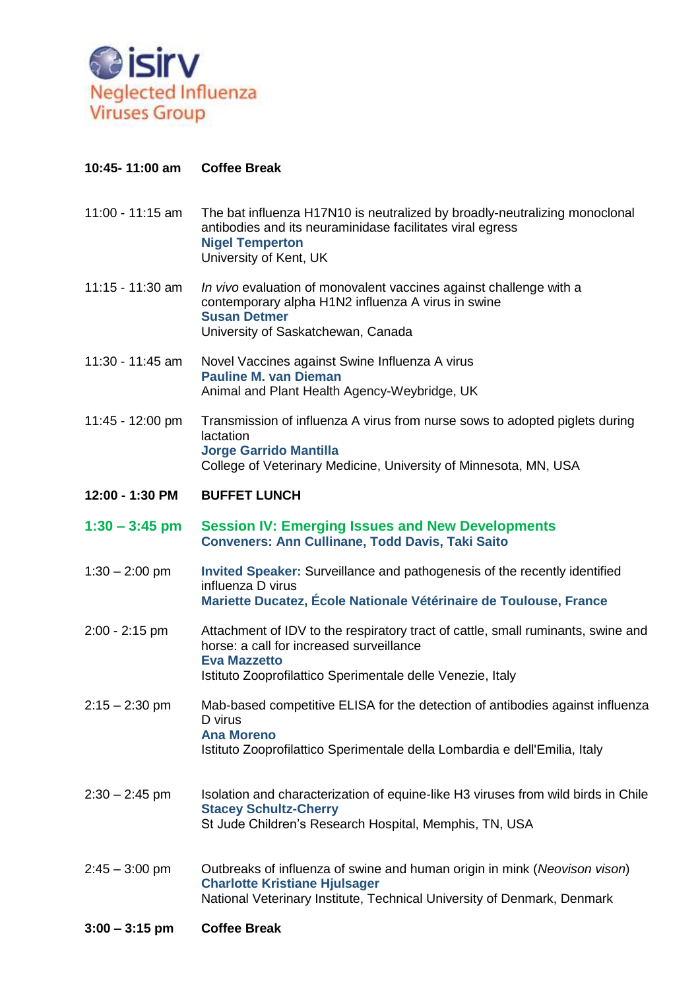

## **10:45- 11:00 am Coffee Break**

- 11:00 11:15 am The bat influenza H17N10 is neutralized by broadly-neutralizing monoclonal antibodies and its neuraminidase facilitates viral egress **Nigel Temperton** University of Kent, UK
- 11:15 11:30 am *In vivo* evaluation of monovalent vaccines against challenge with a contemporary alpha H1N2 influenza A virus in swine **Susan Detmer** University of Saskatchewan, Canada
- 11:30 11:45 am Novel Vaccines against Swine Influenza A virus **Pauline M. van Dieman** Animal and Plant Health Agency-Weybridge, UK
- 11:45 12:00 pm Transmission of influenza A virus from nurse sows to adopted piglets during lactation **Jorge Garrido Mantilla** College of Veterinary Medicine, University of Minnesota, MN, USA
- **12:00 - 1:30 PM BUFFET LUNCH**
- **1:30 – 3:45 pm Session IV: Emerging Issues and New Developments Conveners: Ann Cullinane, Todd Davis, Taki Saito**
- 1:30 2:00 pm **Invited Speaker:** Surveillance and pathogenesis of the recently identified influenza D virus **Mariette Ducatez, École Nationale Vétérinaire de Toulouse, France**
- 2:00 2:15 pm Attachment of IDV to the respiratory tract of cattle, small ruminants, swine and horse: a call for increased surveillance **Eva Mazzetto** Istituto Zooprofilattico Sperimentale delle Venezie, Italy
- 2:15 2:30 pm Mab-based competitive ELISA for the detection of antibodies against influenza D virus **Ana Moreno** Istituto Zooprofilattico Sperimentale della Lombardia e dell'Emilia, Italy
- 2:30 2:45 pm Isolation and characterization of equine-like H3 viruses from wild birds in Chile **Stacey Schultz-Cherry** St Jude Children's Research Hospital, Memphis, TN, USA
- 2:45 3:00 pm Outbreaks of influenza of swine and human origin in mink (*Neovison vison*) **Charlotte Kristiane Hjulsager** National Veterinary Institute, Technical University of Denmark, Denmark
- **3:00 – 3:15 pm Coffee Break**